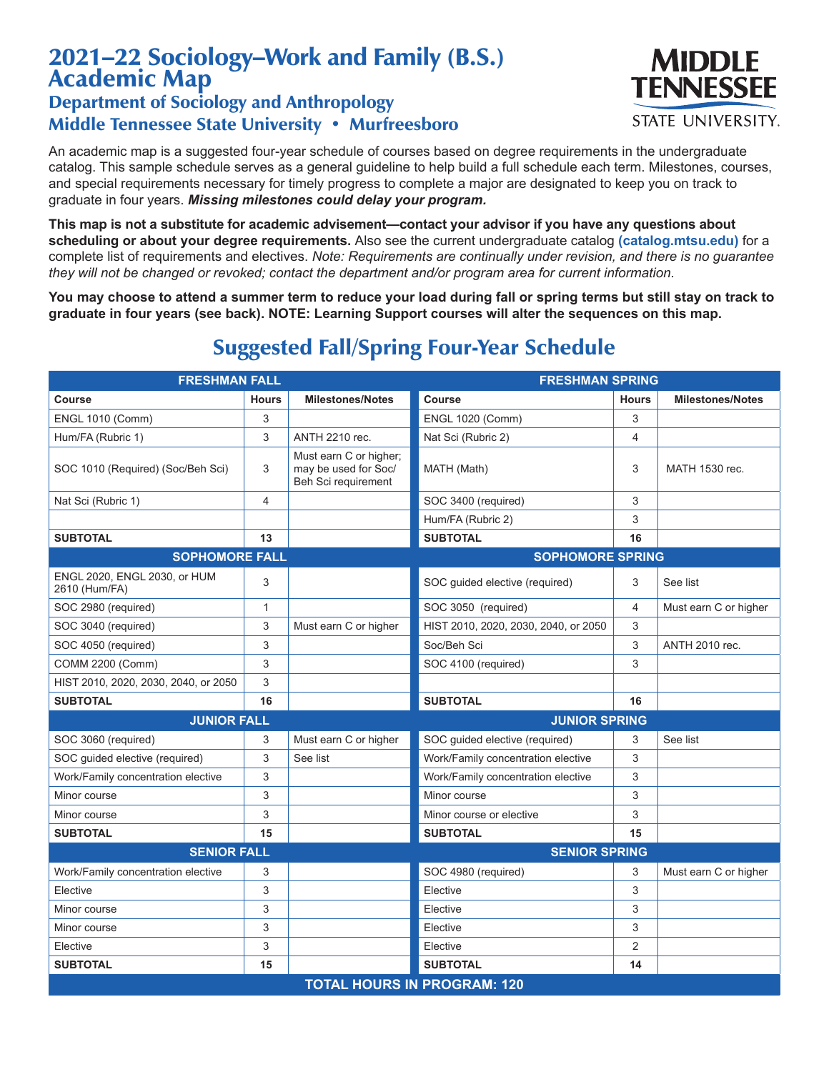## 2021–22 Sociology–Work and Family (B.S.) Academic Map

## Department of Sociology and Anthropology Middle Tennessee State University • Murfreesboro

An academic map is a suggested four-year schedule of courses based on degree requirements in the undergraduate catalog. This sample schedule serves as a general guideline to help build a full schedule each term. Milestones, courses, and special requirements necessary for timely progress to complete a major are designated to keep you on track to graduate in four years. *Missing milestones could delay your program.*

**This map is not a substitute for academic advisement—contact your advisor if you have any questions about scheduling or about your degree requirements.** Also see the current undergraduate catalog **(catalog.mtsu.edu)** for a complete list of requirements and electives. *Note: Requirements are continually under revision, and there is no guarantee they will not be changed or revoked; contact the department and/or program area for current information.*

**You may choose to attend a summer term to reduce your load during fall or spring terms but still stay on track to graduate in four years (see back). NOTE: Learning Support courses will alter the sequences on this map.**

| <b>FRESHMAN FALL</b>                          |              |                                                                       | <b>FRESHMAN SPRING</b>               |                |                         |  |  |
|-----------------------------------------------|--------------|-----------------------------------------------------------------------|--------------------------------------|----------------|-------------------------|--|--|
| Course                                        | <b>Hours</b> | <b>Milestones/Notes</b>                                               | Course                               | <b>Hours</b>   | <b>Milestones/Notes</b> |  |  |
| <b>ENGL 1010 (Comm)</b>                       | 3            |                                                                       | <b>ENGL 1020 (Comm)</b>              | 3              |                         |  |  |
| Hum/FA (Rubric 1)                             | 3            | <b>ANTH 2210 rec.</b>                                                 | Nat Sci (Rubric 2)                   | 4              |                         |  |  |
| SOC 1010 (Required) (Soc/Beh Sci)             | 3            | Must earn C or higher;<br>may be used for Soc/<br>Beh Sci requirement | MATH (Math)                          | 3              | MATH 1530 rec.          |  |  |
| Nat Sci (Rubric 1)                            | 4            |                                                                       | SOC 3400 (required)                  | 3              |                         |  |  |
|                                               |              |                                                                       | Hum/FA (Rubric 2)                    | 3              |                         |  |  |
| <b>SUBTOTAL</b>                               | 13           |                                                                       | <b>SUBTOTAL</b>                      | 16             |                         |  |  |
| <b>SOPHOMORE FALL</b>                         |              |                                                                       | <b>SOPHOMORE SPRING</b>              |                |                         |  |  |
| ENGL 2020, ENGL 2030, or HUM<br>2610 (Hum/FA) | 3            |                                                                       | SOC guided elective (required)       | 3              | See list                |  |  |
| SOC 2980 (required)                           | $\mathbf{1}$ |                                                                       | SOC 3050 (required)                  | 4              | Must earn C or higher   |  |  |
| SOC 3040 (required)                           | 3            | Must earn C or higher                                                 | HIST 2010, 2020, 2030, 2040, or 2050 | 3              |                         |  |  |
| SOC 4050 (required)                           | 3            |                                                                       | Soc/Beh Sci                          | 3              | <b>ANTH 2010 rec.</b>   |  |  |
| COMM 2200 (Comm)                              | 3            |                                                                       | SOC 4100 (required)                  | 3              |                         |  |  |
| HIST 2010, 2020, 2030, 2040, or 2050          | 3            |                                                                       |                                      |                |                         |  |  |
| <b>SUBTOTAL</b>                               | 16           |                                                                       | <b>SUBTOTAL</b>                      | 16             |                         |  |  |
| <b>JUNIOR FALL</b>                            |              |                                                                       | <b>JUNIOR SPRING</b>                 |                |                         |  |  |
| SOC 3060 (required)                           | 3            | Must earn C or higher                                                 | SOC guided elective (required)       | 3              | See list                |  |  |
| SOC quided elective (required)                | 3            | See list                                                              | Work/Family concentration elective   | 3              |                         |  |  |
| Work/Family concentration elective            | 3            |                                                                       | Work/Family concentration elective   | 3              |                         |  |  |
| Minor course                                  | 3            |                                                                       | Minor course                         | 3              |                         |  |  |
| Minor course                                  | 3            |                                                                       | Minor course or elective             | 3              |                         |  |  |
| <b>SUBTOTAL</b>                               | 15           |                                                                       | <b>SUBTOTAL</b>                      | 15             |                         |  |  |
| <b>SENIOR FALL</b>                            |              |                                                                       | <b>SENIOR SPRING</b>                 |                |                         |  |  |
| Work/Family concentration elective            | 3            |                                                                       | SOC 4980 (required)                  | 3              | Must earn C or higher   |  |  |
| Elective                                      | 3            |                                                                       | Elective                             | 3              |                         |  |  |
| Minor course                                  | 3            |                                                                       | Elective                             | 3              |                         |  |  |
| Minor course                                  | 3            |                                                                       | Elective                             | 3              |                         |  |  |
| Elective                                      | 3            |                                                                       | Elective                             | $\overline{2}$ |                         |  |  |
| <b>SUBTOTAL</b>                               | 15           |                                                                       | <b>SUBTOTAL</b>                      | 14             |                         |  |  |
| <b>TOTAL HOURS IN PROGRAM: 120</b>            |              |                                                                       |                                      |                |                         |  |  |

## Suggested Fall/Spring Four-Year Schedule